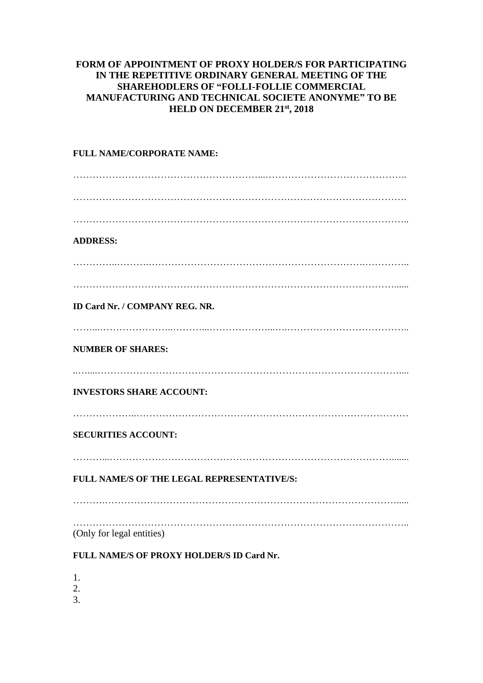## **FORM OF APPOINTMENT OF PROXY HOLDER/S FOR PARTICIPATING IN THE REPETITIVE ORDINARY GENERAL MEETING OF THE SHAREHODLERS OF "FOLLI-FOLLIE COMMERCIAL MANUFACTURING AND TECHNICAL SOCIETE ANONYME" TO BE HELD ON DECEMBER 21 st, 2018**

## **FULL NAME/CORPORATE NAME:** …………………………………………………...…………………………………….. …………………………………………………………………………………………. ………………………………………………………………………………………….. **ADDRESS:** …………..……….………………………………………………………….………….. ………………………………………………………………………………………...... **ID Card Nr. / COMPANY REG. NR.** ……...…………………..………...………………...….……………………………….. **NUMBER OF SHARES:** ..…....………………………………………………………………………………….... **INVESTORS SHARE ACCOUNT:** ………………..………………………………………………………………………… **SECURITIES ACCOUNT:** ………...……………………………………………………………………………....... **FULL NAME/S OF THE LEGAL REPRESENTATIVE/S:** ……….………………………………………………………………………………..... ………………………………………………………………………………………….. (Only for legal entities)

## **FULL NAME/S OF PROXY HOLDER/S ID Card Nr.**

1.

2.

3.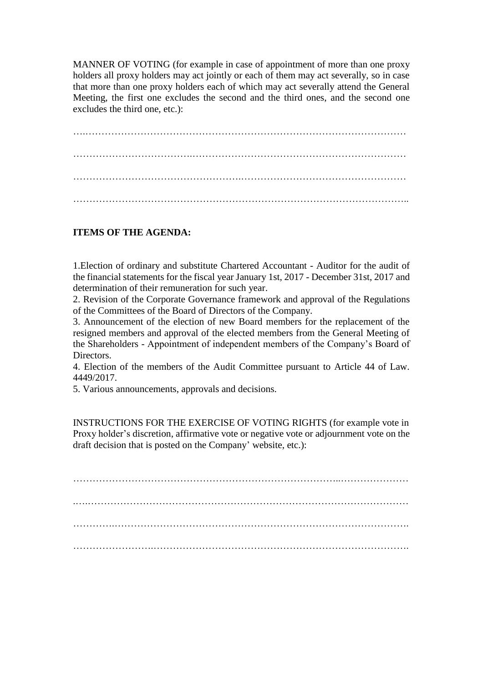MANNER OF VOTING (for example in case of appointment of more than one proxy holders all proxy holders may act jointly or each of them may act severally, so in case that more than one proxy holders each of which may act severally attend the General Meeting, the first one excludes the second and the third ones, and the second one excludes the third one, etc.):

….……………………………………………………………………………………… ……………………………….………………………………………………………… …………………………………………….…………………………………………… …………………………………………………………………………………………..

## **ITEMS OF THE AGENDA:**

1.Election of ordinary and substitute Chartered Accountant - Auditor for the audit of the financial statements for the fiscal year January 1st, 2017 - December 31st, 2017 and determination of their remuneration for such year.

2. Revision of the Corporate Governance framework and approval of the Regulations of the Committees of the Board of Directors of the Company.

3. Announcement of the election of new Board members for the replacement of the resigned members and approval of the elected members from the General Meeting of the Shareholders - Appointment of independent members of the Company's Board of Directors.

4. Election of the members of the Audit Committee pursuant to Article 44 of Law. 4449/2017.

5. Various announcements, approvals and decisions.

INSTRUCTIONS FOR THE EXERCISE OF VOTING RIGHTS (for example vote in Proxy holder's discretion, affirmative vote or negative vote or adjournment vote on the draft decision that is posted on the Company' website, etc.):

.….……………………………………………………………………………………… ………….………………………………………………………………………………. …………………….…………………………………………………………………….